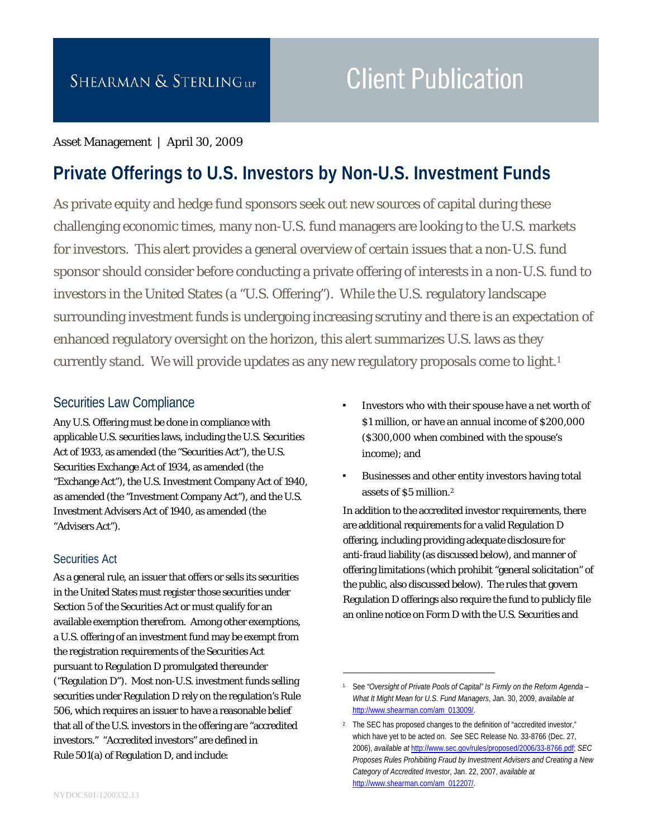# **Client Publication**

#### Asset Management | April 30, 2009

# **Private Offerings to U.S. Investors by Non-U.S. Investment Funds**

As private equity and hedge fund sponsors seek out new sources of capital during these challenging economic times, many non-U.S. fund managers are looking to the U.S. markets for investors. This alert provides a general overview of certain issues that a non-U.S. fund sponsor should consider before conducting a private offering of interests in a non-U.S. fund to investors in the United States (a "U.S. Offering"). While the U.S. regulatory landscape surrounding investment funds is undergoing increasing scrutiny and there is an expectation of enhanced regulatory oversight on the horizon, this alert summarizes U.S. laws as they currently stand. We will provide updates as any new regulatory proposals come to light.<sup>1</sup>

 $\overline{a}$ 

# Securities Law Compliance

Any U.S. Offering must be done in compliance with applicable U.S. securities laws, including the U.S. Securities Act of 1933, as amended (the "Securities Act"), the U.S. Securities Exchange Act of 1934, as amended (the "Exchange Act"), the U.S. Investment Company Act of 1940, as amended (the "Investment Company Act"), and the U.S. Investment Advisers Act of 1940, as amended (the "Advisers Act").

#### Securities Act

As a general rule, an issuer that offers or sells its securities in the United States must register those securities under Section 5 of the Securities Act or must qualify for an available exemption therefrom. Among other exemptions, a U.S. offering of an investment fund may be exempt from the registration requirements of the Securities Act pursuant to Regulation D promulgated thereunder ("Regulation D"). Most non-U.S. investment funds selling securities under Regulation D rely on the regulation's Rule 506, which requires an issuer to have a reasonable belief that all of the U.S. investors in the offering are "accredited investors." "Accredited investors" are defined in Rule 501(a) of Regulation D, and include:

- Investors who with their spouse have a net worth of \$1 million, or have an annual income of \$200,000 (\$300,000 when combined with the spouse's income); and
- Businesses and other entity investors having total assets of \$5 million.2

In addition to the accredited investor requirements, there are additional requirements for a valid Regulation D offering, including providing adequate disclosure for anti-fraud liability (as discussed below), and manner of offering limitations (which prohibit "general solicitation" of the public, also discussed below). The rules that govern Regulation D offerings also require the fund to publicly file an online notice on Form D with the U.S. Securities and

<sup>1</sup> See "Oversight of Private Pools of Capital" Is Firmly on the Reform Agenda -*What It Might Mean for U.S. Fund Managers*, Jan. 30, 2009, *available at* http://www.shearman.com/am\_013009/.

<sup>&</sup>lt;sup>2</sup> The SEC has proposed changes to the definition of "accredited investor," which have yet to be acted on. *See* SEC Release No. 33-8766 (Dec. 27, 2006), *available at* http://www.sec.gov/rules/proposed/2006/33-8766.pdf; *SEC Proposes Rules Prohibiting Fraud by Investment Advisers and Creating a New Category of Accredited Investor*, Jan. 22, 2007, *available at*  http://www.shearman.com/am\_012207/.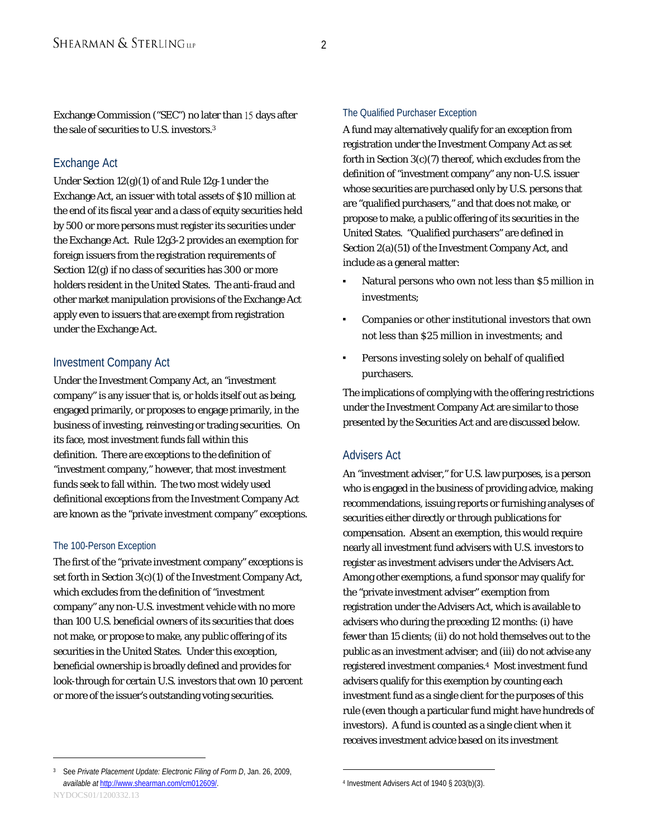Exchange Commission ("SEC") no later than 15 days after the sale of securities to U.S. investors.3

#### Exchange Act

Under Section 12(g)(1) of and Rule 12g-1 under the Exchange Act, an issuer with total assets of \$10 million at the end of its fiscal year and a class of equity securities held by 500 or more persons must register its securities under the Exchange Act. Rule 12g3-2 provides an exemption for foreign issuers from the registration requirements of Section 12(g) if no class of securities has 300 or more holders resident in the United States. The anti-fraud and other market manipulation provisions of the Exchange Act apply even to issuers that are exempt from registration under the Exchange Act.

#### Investment Company Act

Under the Investment Company Act, an "investment company" is any issuer that is, or holds itself out as being, engaged primarily, or proposes to engage primarily, in the business of investing, reinvesting or trading securities. On its face, most investment funds fall within this definition. There are exceptions to the definition of "investment company," however, that most investment funds seek to fall within. The two most widely used definitional exceptions from the Investment Company Act are known as the "private investment company" exceptions.

#### The 100-Person Exception

 $\overline{a}$ 

The first of the "private investment company" exceptions is set forth in Section 3(c)(1) of the Investment Company Act, which excludes from the definition of "investment company" any non-U.S. investment vehicle with no more than 100 U.S. beneficial owners of its securities that does not make, or propose to make, any public offering of its securities in the United States. Under this exception, beneficial ownership is broadly defined and provides for look-through for certain U.S. investors that own 10 percent or more of the issuer's outstanding voting securities.

#### The Qualified Purchaser Exception

A fund may alternatively qualify for an exception from registration under the Investment Company Act as set forth in Section 3(c)(7) thereof, which excludes from the definition of "investment company" any non-U.S. issuer whose securities are purchased only by U.S. persons that are "qualified purchasers," and that does not make, or propose to make, a public offering of its securities in the United States. "Qualified purchasers" are defined in Section 2(a)(51) of the Investment Company Act, and include as a general matter:

- Natural persons who own not less than \$5 million in investments;
- Companies or other institutional investors that own not less than \$25 million in investments; and
- Persons investing solely on behalf of qualified purchasers.

The implications of complying with the offering restrictions under the Investment Company Act are similar to those presented by the Securities Act and are discussed below.

#### Advisers Act

An "investment adviser," for U.S. law purposes, is a person who is engaged in the business of providing advice, making recommendations, issuing reports or furnishing analyses of securities either directly or through publications for compensation. Absent an exemption, this would require nearly all investment fund advisers with U.S. investors to register as investment advisers under the Advisers Act. Among other exemptions, a fund sponsor may qualify for the "private investment adviser" exemption from registration under the Advisers Act, which is available to advisers who during the preceding 12 months: (i) have fewer than 15 clients; (ii) do not hold themselves out to the public as an investment adviser; and (iii) do not advise any registered investment companies.4 Most investment fund advisers qualify for this exemption by counting each investment fund as a single client for the purposes of this rule (even though a particular fund might have hundreds of investors). A fund is counted as a single client when it receives investment advice based on its investment

 $\overline{a}$ 

NYDOCS01/1200332.13 3 See *Private Placement Update: Electronic Filing of Form D*, Jan. 26, 2009, *available at* http://www.shearman.com/cm012609/.

<sup>4</sup> Investment Advisers Act of 1940 § 203(b)(3).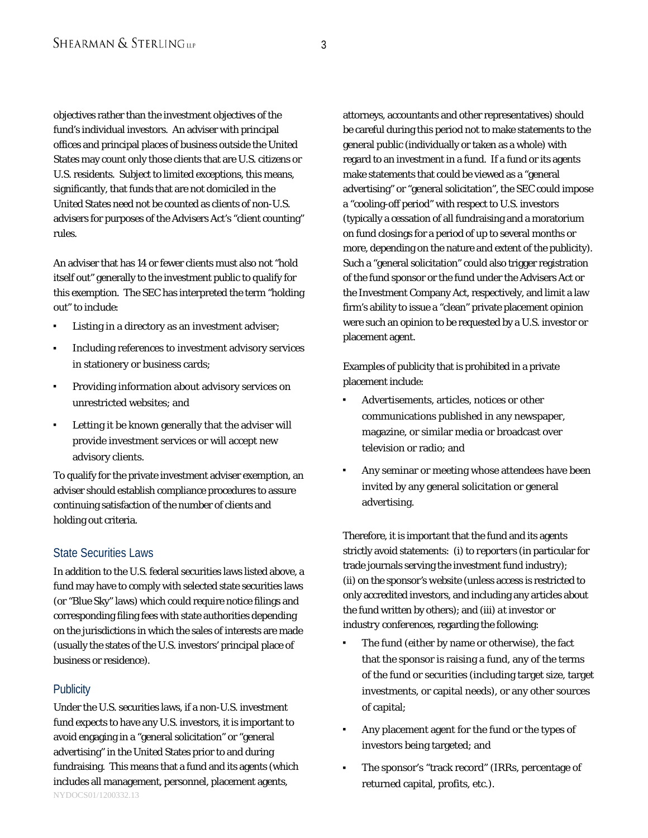objectives rather than the investment objectives of the fund's individual investors. An adviser with principal offices and principal places of business outside the United States may count only those clients that are U.S. citizens or U.S. residents. Subject to limited exceptions, this means, significantly, that funds that are not domiciled in the United States need not be counted as clients of non-U.S. advisers for purposes of the Advisers Act's "client counting" rules.

An adviser that has 14 or fewer clients must also not "hold itself out" generally to the investment public to qualify for this exemption. The SEC has interpreted the term "holding out" to include:

- Listing in a directory as an investment adviser;
- Including references to investment advisory services in stationery or business cards;
- Providing information about advisory services on unrestricted websites; and
- Letting it be known generally that the adviser will provide investment services or will accept new advisory clients.

To qualify for the private investment adviser exemption, an adviser should establish compliance procedures to assure continuing satisfaction of the number of clients and holding out criteria.

#### State Securities Laws

In addition to the U.S. federal securities laws listed above, a fund may have to comply with selected state securities laws (or "Blue Sky" laws) which could require notice filings and corresponding filing fees with state authorities depending on the jurisdictions in which the sales of interests are made (usually the states of the U.S. investors' principal place of business or residence).

#### **Publicity**

NYDOCS01/1200332.13 Under the U.S. securities laws, if a non-U.S. investment fund expects to have any U.S. investors, it is important to avoid engaging in a "general solicitation" or "general advertising" in the United States prior to and during fundraising. This means that a fund and its agents (which includes all management, personnel, placement agents,

attorneys, accountants and other representatives) should be careful during this period not to make statements to the general public (individually or taken as a whole) with regard to an investment in a fund. If a fund or its agents make statements that could be viewed as a "general advertising" or "general solicitation", the SEC could impose a "cooling-off period" with respect to U.S. investors (typically a cessation of all fundraising and a moratorium on fund closings for a period of up to several months or more, depending on the nature and extent of the publicity). Such a "general solicitation" could also trigger registration of the fund sponsor or the fund under the Advisers Act or the Investment Company Act, respectively, and limit a law firm's ability to issue a "clean" private placement opinion were such an opinion to be requested by a U.S. investor or placement agent.

Examples of publicity that is prohibited in a private placement include:

- Advertisements, articles, notices or other communications published in any newspaper, magazine, or similar media or broadcast over television or radio; and
- Any seminar or meeting whose attendees have been invited by any general solicitation or general advertising.

Therefore, it is important that the fund and its agents strictly avoid statements: (i) *to reporters* (in particular for trade journals serving the investment fund industry); (ii) *on the sponsor's website* (unless access is restricted to only accredited investors, and including any articles about the fund written by others); and (iii) *at investor or industry conferences*, regarding the following:

- The fund (either by name or otherwise), the fact that the sponsor is raising a fund, any of the terms of the fund or securities (including target size, target investments, or capital needs), or any other sources of capital;
- Any placement agent for the fund or the types of investors being targeted; and
- The sponsor's "track record" (IRRs, percentage of returned capital, profits, etc.).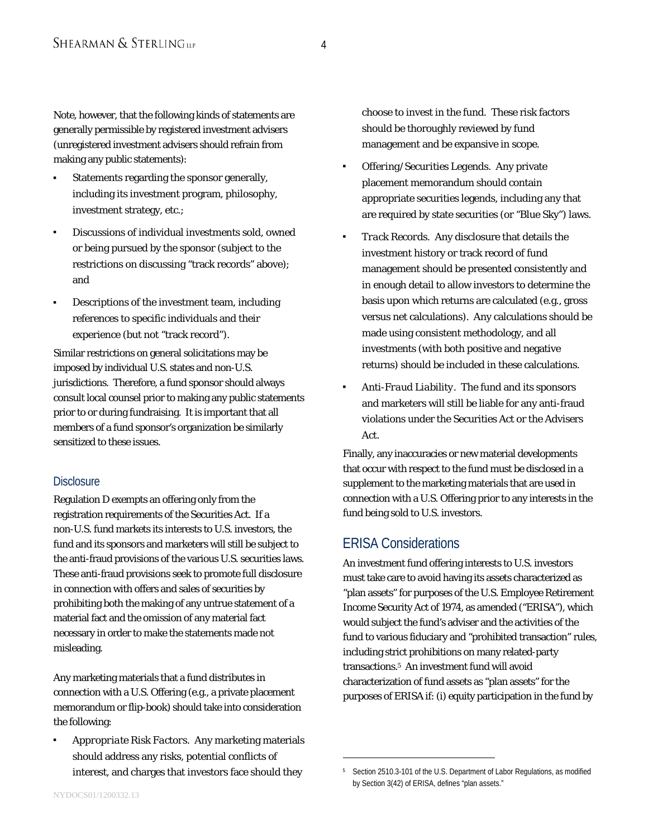Note, however, that the following kinds of statements are generally permissible by registered investment advisers (unregistered investment advisers should refrain from making any public statements):

- Statements regarding the sponsor generally, including its investment program, philosophy, investment strategy, etc.;
- Discussions of individual investments sold, owned or being pursued by the sponsor (subject to the restrictions on discussing "track records" above); and
- Descriptions of the investment team, including references to specific individuals and their experience (but not "track record").

Similar restrictions on general solicitations may be imposed by individual U.S. states and non-U.S. jurisdictions. Therefore, a fund sponsor should always consult local counsel prior to making any public statements prior to or during fundraising. It is important that all members of a fund sponsor's organization be similarly sensitized to these issues.

#### **Disclosure**

Regulation D exempts an offering only from the registration requirements of the Securities Act. If a non-U.S. fund markets its interests to U.S. investors, the fund and its sponsors and marketers will still be subject to the anti-fraud provisions of the various U.S. securities laws. These anti-fraud provisions seek to promote full disclosure in connection with offers and sales of securities by prohibiting both the making of any untrue statement of a material fact and the omission of any material fact necessary in order to make the statements made not misleading.

Any marketing materials that a fund distributes in connection with a U.S. Offering (e.g., a private placement memorandum or flip-book) should take into consideration the following:

 *Appropriate Risk Factors.* Any marketing materials should address any risks, potential conflicts of interest, and charges that investors face should they

choose to invest in the fund. These risk factors should be thoroughly reviewed by fund management and be expansive in scope.

- *Offering/Securities Legends.* Any private placement memorandum should contain appropriate securities legends, including any that are required by state securities (or "Blue Sky") laws.
- *Track Records.* Any disclosure that details the investment history or track record of fund management should be presented consistently and in enough detail to allow investors to determine the basis upon which returns are calculated (e.g., gross versus net calculations). Any calculations should be made using consistent methodology, and all investments (with both positive and negative returns) should be included in these calculations.
- *Anti-Fraud Liability.* The fund and its sponsors and marketers will still be liable for any anti-fraud violations under the Securities Act or the Advisers Act.

Finally, any inaccuracies or new material developments that occur with respect to the fund must be disclosed in a supplement to the marketing materials that are used in connection with a U.S. Offering prior to any interests in the fund being sold to U.S. investors.

#### ERISA Considerations

 $\overline{a}$ 

An investment fund offering interests to U.S. investors must take care to avoid having its assets characterized as "plan assets" for purposes of the U.S. Employee Retirement Income Security Act of 1974, as amended ("ERISA"), which would subject the fund's adviser and the activities of the fund to various fiduciary and "prohibited transaction" rules, including strict prohibitions on many related-party transactions.5 An investment fund will avoid characterization of fund assets as "plan assets" for the purposes of ERISA if: (i) equity participation in the fund by

<sup>5</sup> Section 2510.3-101 of the U.S. Department of Labor Regulations, as modified by Section 3(42) of ERISA, defines "plan assets."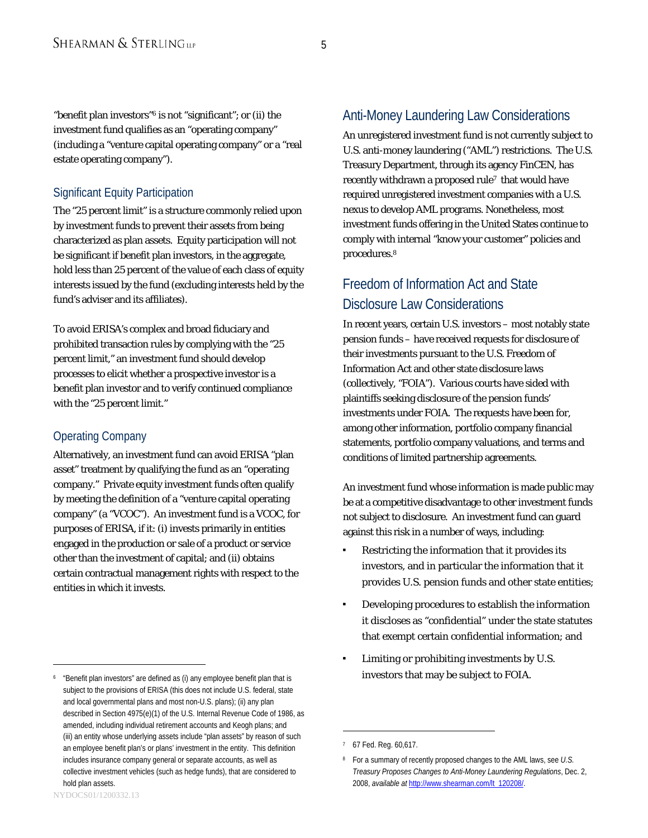"benefit plan investors"6 is not "significant"; or (ii) the investment fund qualifies as an "operating company" (including a "venture capital operating company" or a "real estate operating company").

#### Significant Equity Participation

The "25 percent limit" is a structure commonly relied upon by investment funds to prevent their assets from being characterized as plan assets. Equity participation will not be significant if benefit plan investors, in the aggregate, hold less than 25 percent of the value of each class of equity interests issued by the fund (excluding interests held by the fund's adviser and its affiliates).

To avoid ERISA's complex and broad fiduciary and prohibited transaction rules by complying with the "25 percent limit," an investment fund should develop processes to elicit whether a prospective investor is a benefit plan investor and to verify continued compliance with the "25 percent limit."

#### Operating Company

Alternatively, an investment fund can avoid ERISA "plan asset" treatment by qualifying the fund as an "operating company." Private equity investment funds often qualify by meeting the definition of a "venture capital operating company" (a "VCOC"). An investment fund is a VCOC, for purposes of ERISA, if it: (i) invests primarily in entities engaged in the production or sale of a product or service other than the investment of capital; and (ii) obtains certain contractual management rights with respect to the entities in which it invests.

### Anti-Money Laundering Law Considerations

An unregistered investment fund is not currently subject to U.S. anti-money laundering ("AML") restrictions. The U.S. Treasury Department, through its agency FinCEN, has recently withdrawn a proposed rule<sup>7</sup> that would have required unregistered investment companies with a U.S. nexus to develop AML programs. Nonetheless, most investment funds offering in the United States continue to comply with internal "know your customer" policies and procedures.8

# Freedom of Information Act and State Disclosure Law Considerations

In recent years, certain U.S. investors – most notably state pension funds – have received requests for disclosure of their investments pursuant to the U.S. Freedom of Information Act and other state disclosure laws (collectively, "FOIA"). Various courts have sided with plaintiffs seeking disclosure of the pension funds' investments under FOIA. The requests have been for, among other information, portfolio company financial statements, portfolio company valuations, and terms and conditions of limited partnership agreements.

An investment fund whose information is made public may be at a competitive disadvantage to other investment funds not subject to disclosure. An investment fund can guard against this risk in a number of ways, including:

- Restricting the information that it provides its investors, and in particular the information that it provides U.S. pension funds and other state entities;
- Developing procedures to establish the information it discloses as "confidential" under the state statutes that exempt certain confidential information; and
- Limiting or prohibiting investments by U.S. investors that may be subject to FOIA.

 $\overline{a}$ 

 $\overline{a}$ 

<sup>6 &</sup>quot;Benefit plan investors" are defined as (i) any employee benefit plan that is subject to the provisions of ERISA (this does not include U.S. federal, state and local governmental plans and most non-U.S. plans); (ii) any plan described in Section 4975(e)(1) of the U.S. Internal Revenue Code of 1986, as amended, including individual retirement accounts and Keogh plans; and (iii) an entity whose underlying assets include "plan assets" by reason of such an employee benefit plan's or plans' investment in the entity. This definition includes insurance company general or separate accounts, as well as collective investment vehicles (such as hedge funds), that are considered to hold plan assets.

<sup>7 67</sup> Fed. Reg. 60,617.

<sup>8</sup> For a summary of recently proposed changes to the AML laws, see *U.S. Treasury Proposes Changes to Anti-Money Laundering Regulations*, Dec. 2, 2008, *available at* http://www.shearman.com/lt\_120208/.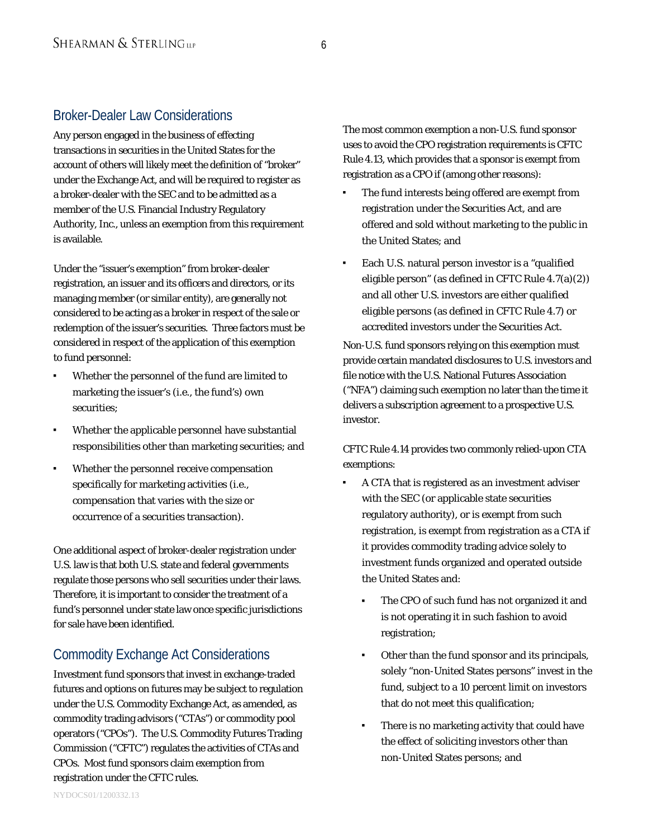## Broker-Dealer Law Considerations

Any person engaged in the business of effecting transactions in securities in the United States for the account of others will likely meet the definition of "broker" under the Exchange Act, and will be required to register as a broker-dealer with the SEC and to be admitted as a member of the U.S. Financial Industry Regulatory Authority, Inc., unless an exemption from this requirement is available.

Under the "issuer's exemption" from broker-dealer registration, an issuer and its officers and directors, or its managing member (or similar entity), are generally not considered to be acting as a broker in respect of the sale or redemption of the issuer's securities. Three factors must be considered in respect of the application of this exemption to fund personnel:

- Whether the personnel of the fund are limited to marketing the issuer's (i.e., the fund's) own securities;
- Whether the applicable personnel have substantial responsibilities other than marketing securities; and
- Whether the personnel receive compensation specifically for marketing activities (i.e., compensation that varies with the size or occurrence of a securities transaction).

One additional aspect of broker-dealer registration under U.S. law is that both U.S. state and federal governments regulate those persons who sell securities under their laws. Therefore, it is important to consider the treatment of a fund's personnel under state law once specific jurisdictions for sale have been identified.

# Commodity Exchange Act Considerations

Investment fund sponsors that invest in exchange-traded futures and options on futures may be subject to regulation under the U.S. Commodity Exchange Act, as amended, as commodity trading advisors ("CTAs") or commodity pool operators ("CPOs"). The U.S. Commodity Futures Trading Commission ("CFTC") regulates the activities of CTAs and CPOs. Most fund sponsors claim exemption from registration under the CFTC rules.

The most common exemption a non-U.S. fund sponsor uses to avoid the CPO registration requirements is CFTC Rule 4.13, which provides that a sponsor is exempt from registration as a CPO if (among other reasons):

- The fund interests being offered are exempt from registration under the Securities Act, and are offered and sold without marketing to the public in the United States; and
- Each U.S. natural person investor is a "qualified eligible person" (as defined in CFTC Rule 4.7(a)(2)) and all other U.S. investors are either qualified eligible persons (as defined in CFTC Rule 4.7) or accredited investors under the Securities Act.

Non-U.S. fund sponsors relying on this exemption must provide certain mandated disclosures to U.S. investors and file notice with the U.S. National Futures Association ("NFA") claiming such exemption no later than the time it delivers a subscription agreement to a prospective U.S. investor.

CFTC Rule 4.14 provides two commonly relied-upon CTA exemptions:

- A CTA that is registered as an investment adviser with the SEC (or applicable state securities regulatory authority), or is exempt from such registration, is exempt from registration as a CTA if it provides commodity trading advice solely to investment funds organized and operated outside the United States and:
	- The CPO of such fund has not organized it and is not operating it in such fashion to avoid registration;
	- Other than the fund sponsor and its principals, solely "non-United States persons" invest in the fund, subject to a 10 percent limit on investors that do not meet this qualification;
	- There is no marketing activity that could have the effect of soliciting investors other than non-United States persons; and